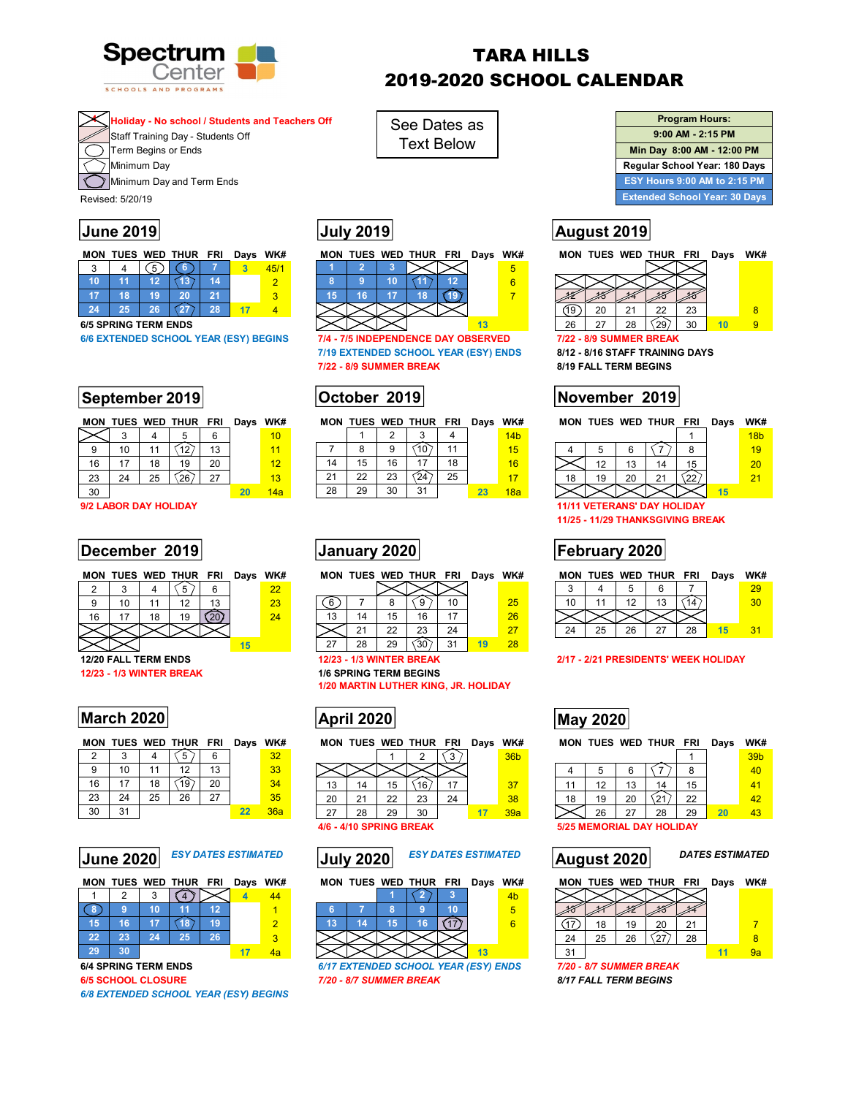

# TARA HILLS 2019-2020 SCHOOL CALENDAR

## **4 Holiday - No school / Students and Teachers Off**

Staff Training Day - Students Off

Term Begins or Ends

Minimum Day

Minimum Day and Term Ends

Revised: 5/20/19

|    |  | MON TUES WED THUR FRI |    | Days WK# |   |  |  | MON TUES WED THUR FRI | Days WK# |  |
|----|--|-----------------------|----|----------|---|--|--|-----------------------|----------|--|
| ົ  |  |                       |    |          |   |  |  |                       |          |  |
| 10 |  |                       |    |          |   |  |  |                       |          |  |
|    |  |                       |    |          | ാ |  |  |                       |          |  |
| 24 |  |                       | 20 |          |   |  |  |                       |          |  |

## **September 2019 | October 2019 | November 2019**

|    |    |    | MON TUES WED THUR FRI |    | Days WK# |                 |
|----|----|----|-----------------------|----|----------|-----------------|
|    |    |    |                       | 6  |          | 10              |
|    | 10 |    |                       | 13 |          | 11              |
| 16 | 17 | 18 | 19                    | 20 |          | 12 <sub>1</sub> |
| 23 | 24 | 25 |                       | 27 |          | 13              |
| 30 |    |    |                       |    | 20       | 14a             |

**9/2 LABOR DAY HOLIDAY 11/11 VETERANS' DAY HOLIDAY** 

## **December 2019 | January 2020 | Tebruary 2020 | February 2020 |**

**MON TUES WED THUR FRI Days WK#** 

|  |    |  |    | 23 | հ  |
|--|----|--|----|----|----|
|  | 18 |  |    | 1Д | 13 |
|  |    |  |    |    |    |
|  |    |  | 15 |    |    |

**12/23 - 1/3 WINTER BREAK 1/6 SPRING TERM BEGINS** 

## **March 2020 March 2020 May 2020 May 2020**

|    |    |    | <b>MON TUES WED THUR FRI</b> |    | Days WK# |     |  |
|----|----|----|------------------------------|----|----------|-----|--|
| 2  |    |    |                              |    |          | 32  |  |
| 9  | 10 | 11 | 12                           | 13 |          | 33  |  |
| 16 | 17 | 18 |                              | 20 |          | 34  |  |
| 23 | 24 | 25 | 26                           | 27 |          | 35  |  |
| 30 | 31 |    |                              |    | 22       | 36a |  |



| .               | . |                        | - 12 |  |
|-----------------|---|------------------------|------|--|
| $\sqrt{5}$      |   | $16$ 17 $\sqrt{18}$ 19 |      |  |
| $\sqrt{22}$     |   | $23 \t 24 \t 25$       | 26   |  |
| 29 <sub>l</sub> |   |                        |      |  |

*6/8 EXTENDED SCHOOL YEAR (ESY) BEGINS* 

|    |    |    | MON TUES WED THUR FRI Days WK# |    |   |
|----|----|----|--------------------------------|----|---|
|    |    |    |                                |    | 5 |
|    | g  | 10 |                                |    |   |
| 15 | 16 |    | 18                             |    |   |
|    |    |    |                                |    |   |
|    |    |    |                                | 13 |   |

See Dates as Text Below

**6/6 EXTENDED SCHOOL YEAR (ESY) BEGINS 7/4 - 7/5 INDEPENDENCE DAY OBSERVED 7/22 - 8/9 SUMMER BREAK 7/19 EXTENDED SCHOOL YEAR (ESY) ENDS 8/12 - 8/16 STAFF TRAINING DAYS 7/22 - 8/9 SUMMER BREAK 8/19 FALL TERM BEGINS** 

|    |     |    | MON TUES WED THUR FRI Days |    | WK#             |    |    |    | MON TUES WED THUR FRI |    | Days WK# |                 |  |    |    | MON TUES WED THUR FRI |          | Days | WK#             |
|----|-----|----|----------------------------|----|-----------------|----|----|----|-----------------------|----|----------|-----------------|--|----|----|-----------------------|----------|------|-----------------|
|    |     |    |                            |    | 10              |    |    |    |                       |    |          | 14 <sub>b</sub> |  |    |    |                       |          |      | 18 <sub>b</sub> |
|    | 10  |    |                            | 12 |                 |    |    |    |                       |    |          |                 |  |    |    |                       |          |      | 19              |
|    | . – | 18 |                            | 20 | 12 <sub>1</sub> |    | 15 | 16 |                       | 18 |          |                 |  |    |    |                       |          |      | $20^{\circ}$    |
| 23 | 24  | 25 | 26                         | 27 | 13              | ົ  | 22 |    |                       | 25 |          |                 |  | 19 | 20 | $^{\circ}$            | $\Omega$ |      |                 |
| 30 |     |    |                            |    |                 | 28 | 29 | 30 | -21                   |    |          |                 |  |    |    |                       |          |      |                 |

|  | MON TUES WED THUR FRI Days WK# |  |  |
|--|--------------------------------|--|--|
|  |                                |  |  |

|    |    |    |    | 10 |    | 25 |  |
|----|----|----|----|----|----|----|--|
| 13 | 14 | 15 | 16 |    |    | 26 |  |
|    | 21 | 22 | 23 | 24 |    | 27 |  |
| 27 | 28 | 29 |    | 31 | 19 | 28 |  |

**1/20 MARTIN LUTHER KING, JR. HOLIDAY** 



 $\boxed{1}$   $\boxed{2}$   $\boxed{3}$   $\boxed{36b}$ 

|     |                   |        |    |    |     |            |    |                    |                | 8  |
|-----|-------------------|--------|----|----|-----|------------|----|--------------------|----------------|----|
| 13  | 14                | '5     | R  |    | 37  |            | 12 | 13                 | 14             | 15 |
| ററ  | $\sim$            | $\sim$ | ററ | 24 | 38  | 18         | 19 | 20                 |                | 22 |
| ົ   | 28                | 29     | วก |    | 39а |            | 26 |                    | 28             | 29 |
| 4/6 | 4/10 SPRING BREAK |        |    |    |     | <u>มzม</u> |    | <b>WEWONAL DAT</b> | <b>HOLIDAY</b> |    |







**6/4 SPRING TERM ENDS** *6/17 EXTENDED SCHOOL YEAR (ESY) ENDS 7/20 - 8/7 SUMMER BREAK*  **6/5 SCHOOL CLOSURE** *7/20 - 8/7 SUMMER BREAK 8/17 FALL TERM BEGINS* 



# **June 2019 July 2019 August 2019**



|    | MON TUES WED THUR FRI |    |    |    | Days | WK#             |  |
|----|-----------------------|----|----|----|------|-----------------|--|
|    |                       |    |    |    |      | 18 <sub>b</sub> |  |
|    | 5                     |    |    |    |      |                 |  |
|    | 12                    | 13 | 14 | 15 |      | 20              |  |
| 18 | 19                    | 20 | 21 |    |      | 21              |  |
|    |                       |    |    |    | 15   |                 |  |

**11/25 - 11/29 THANKSGIVING BREAK** 

| MON TUES WED THUR FRI Days WK# |  |  |  |  |  |  |  |
|--------------------------------|--|--|--|--|--|--|--|
|--------------------------------|--|--|--|--|--|--|--|

|    |    | ∽  |    |    |  |  |
|----|----|----|----|----|--|--|
| 10 |    | 12 | 13 |    |  |  |
|    |    |    |    |    |  |  |
|    | 25 | 26 | 27 | 28 |  |  |

#### **12/20 FALL TERM ENDS 12/23 - 1/3 WINTER BREAK 2/17 - 2/21 PRESIDENTS' WEEK HOLIDAY**

MON TUES WED THUR FRI Days WK# MON TUES WED THUR FRI Days WK#

|    |    |    |    |    |    | 39 <sub>b</sub> |  |
|----|----|----|----|----|----|-----------------|--|
|    | 5  |    |    |    |    | 40              |  |
| ۱1 | 12 | 13 | 14 | 15 |    | 41              |  |
| 18 | 19 | 20 |    | 22 |    | 42              |  |
|    | 26 | 27 | 28 | 29 | 20 | 43              |  |

|                     |    |    | MON TUES WED THUR FRI |    | Days | WK# |  |
|---------------------|----|----|-----------------------|----|------|-----|--|
|                     |    |    |                       |    |      |     |  |
|                     |    |    |                       |    |      |     |  |
|                     | 18 | 19 | 20                    | 21 |      |     |  |
| 24                  | 25 | 26 |                       | 28 |      |     |  |
| 31                  |    |    |                       |    | 11   | 9а  |  |
| $-122$<br><br>-- -- |    |    |                       |    |      |     |  |